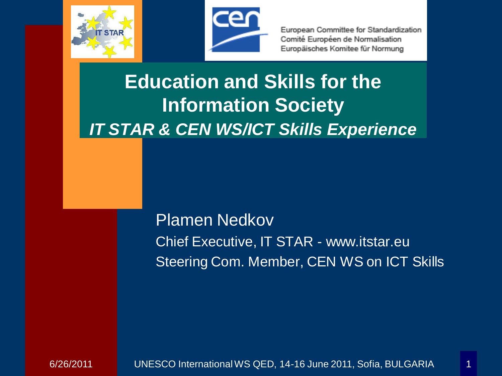



# **Education and Skills for the Information Society** *IT STAR & CEN WS/ICT Skills Experience*

Plamen Nedkov Chief Executive, IT STAR - www.itstar.eu Steering Com. Member, CEN WS on ICT Skills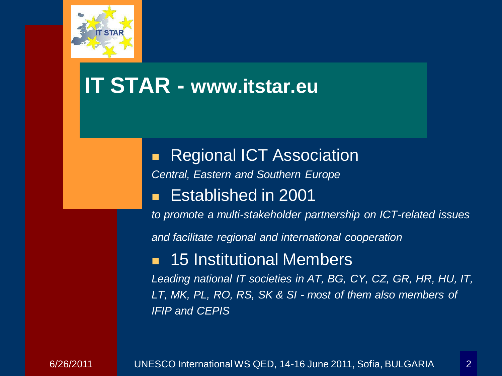

## **IT STAR - www.itstar.eu**

 Regional ICT Association *Central, Eastern and Southern Europe* Established in 2001

*to promote a multi-stakeholder partnership on ICT-related issues*

*and facilitate regional and international cooperation*

#### 15 Institutional Members

*Leading national IT societies in AT, BG, CY, CZ, GR, HR, HU, IT, LT, MK, PL, RO, RS, SK & SI - most of them also members of IFIP and CEPIS*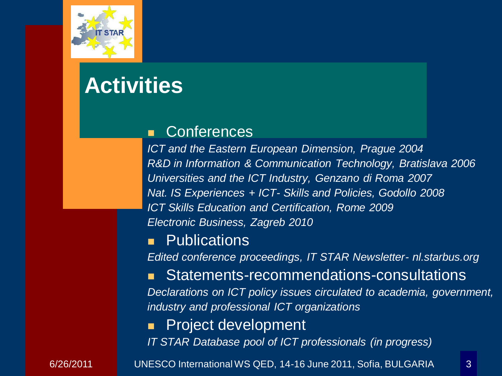

# **Activities**

#### **Conferences**

*ICT and the Eastern European Dimension, Prague 2004 R&D in Information & Communication Technology, Bratislava 2006 Universities and the ICT Industry, Genzano di Roma 2007 Nat. IS Experiences + ICT- Skills and Policies, Godollo 2008 ICT Skills Education and Certification, Rome 2009 Electronic Business, Zagreb 2010*

#### **Publications**

*Edited conference proceedings, IT STAR Newsletter- nl.starbus.org*

 Statements-recommendations-consultations *Declarations on ICT policy issues circulated to academia, government, industry and professional ICT organizations*

### Project development

*IT STAR Database pool of ICT professionals (in progress)*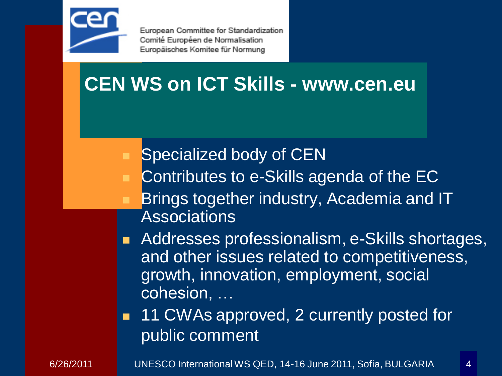

## **CEN WS on ICT Skills - www.cen.eu**

### Specialized body of CEN

- Contributes to e-Skills agenda of the EC
- Brings together industry, Academia and IT **Associations**
- Addresses professionalism, e-Skills shortages, and other issues related to competitiveness, growth, innovation, employment, social cohesion, …
- **11 CWAs approved, 2 currently posted for** public comment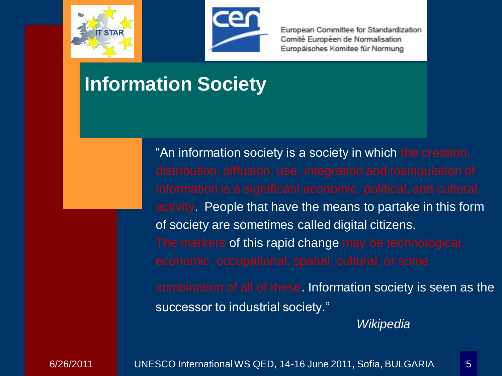



### **Information Society**

"An information society is a society in which the creation, activity. People that have the means to partake in this form of society are sometimes called digital citizens. The markers of this rapid change may be technological, combination of all of these. Information society is seen as the successor to industrial society."

*Wikipedia*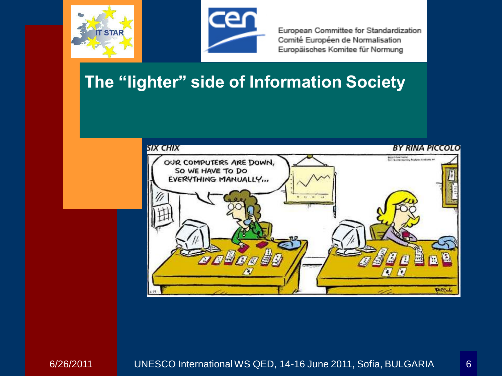



### **The "lighter" side of Information Society**

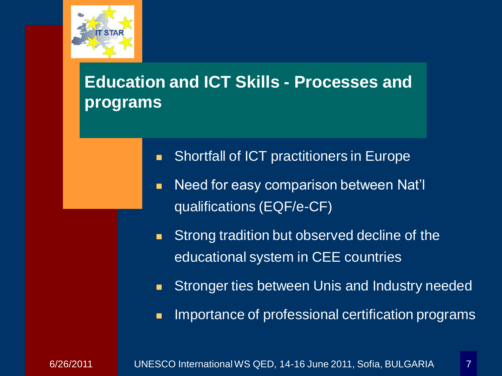

### **Education and ICT Skills - Processes and programs**

- **Shortfall of ICT practitioners in Europe**
- Need for easy comparison between Nat'll qualifications (EQF/e-CF)
- **Strong tradition but observed decline of the** educational system in CEE countries
- **Stronger ties between Unis and Industry needed**
- **IMPORTANCE OF professional certification programs**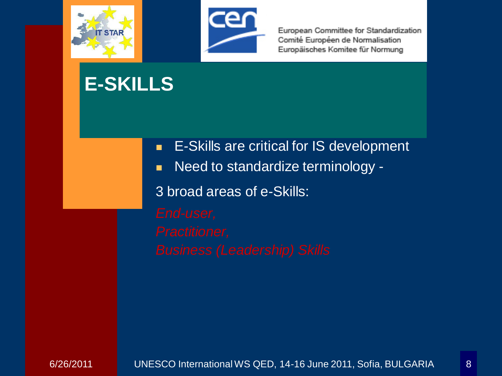



## **E-SKILLS**

- **E-Skills are critical for IS development**
- Need to standardize terminology -

3 broad areas of e-Skills: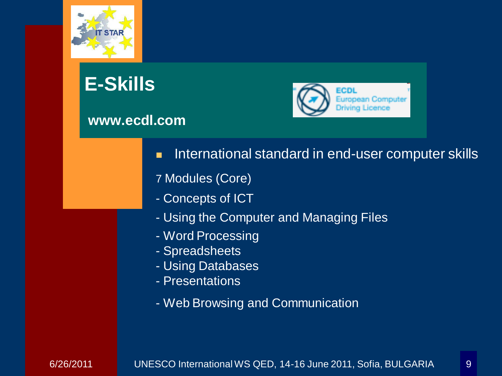

# **E-Skills**

#### **www.ecdl.com**



- **International standard in end-user computer skills**
- 7 Modules (Core)
- Concepts of ICT
- Using the Computer and Managing Files
- Word Processing
- Spreadsheets
- Using Databases
- Presentations
- Web Browsing and Communication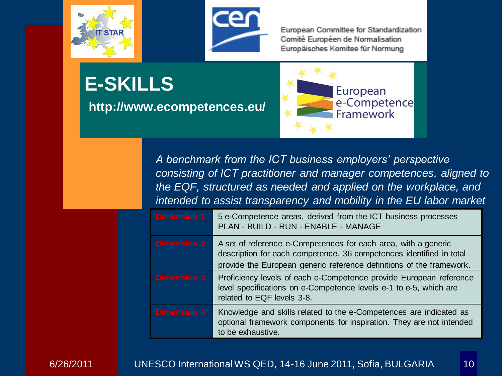



**E-SKILLS**

**http://www.ecompetences.eu/**



*A benchmark from the ICT business employers' perspective consisting of ICT practitioner and manager competences, aligned to the EQF, structured as needed and applied on the workplace, and intended to assist transparency and mobility in the EU labor market*

| <b>Dimension 1</b> | 5 e-Competence areas, derived from the ICT business processes<br>PLAN - BUILD - RUN - ENABLE - MANAGE                                                                                                         |
|--------------------|---------------------------------------------------------------------------------------------------------------------------------------------------------------------------------------------------------------|
| <b>Dimension 2</b> | A set of reference e-Competences for each area, with a generic<br>description for each competence. 36 competences identified in total<br>provide the European generic reference definitions of the framework. |
| <b>Dimension 3</b> | Proficiency levels of each e-Competence provide European reference<br>level specifications on e-Competence levels e-1 to e-5, which are<br>related to EQF levels 3-8.                                         |
| <b>Dimension 4</b> | Knowledge and skills related to the e-Competences are indicated as<br>optional framework components for inspiration. They are not intended<br>to be exhaustive.                                               |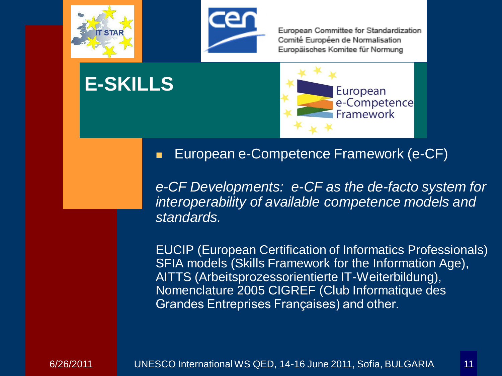

**E-SKILLS**



European Committee for Standardization Comité Européen de Normalisation Europäisches Komitee für Normung



#### **European e-Competence Framework (e-CF)**

*e-CF Developments: e-CF as the de-facto system for interoperability of available competence models and standards.*

EUCIP (European Certification of Informatics Professionals) SFIA models (Skills Framework for the Information Age), AITTS (Arbeitsprozessorientierte IT-Weiterbildung), Nomenclature 2005 CIGREF (Club Informatique des Grandes Entreprises Françaises) and other.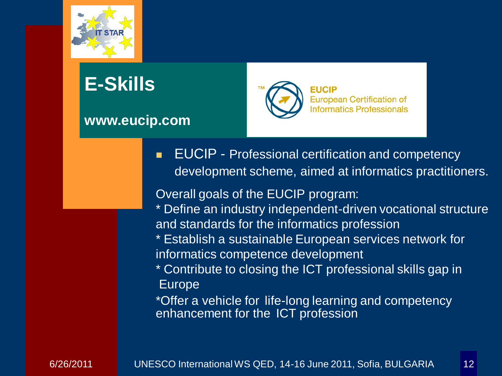

# **E-Skills**

#### **www.eucip.com**



**EUCIP** - Professional certification and competency development scheme, aimed at informatics practitioners.

Overall goals of the EUCIP program:

- \* Define an industry independent-driven vocational structure and standards for the informatics profession
- \* Establish a sustainable European services network for informatics competence development
- \* Contribute to closing the ICT professional skills gap in Europe

\*Offer a vehicle for life-long learning and competency enhancement for the ICT profession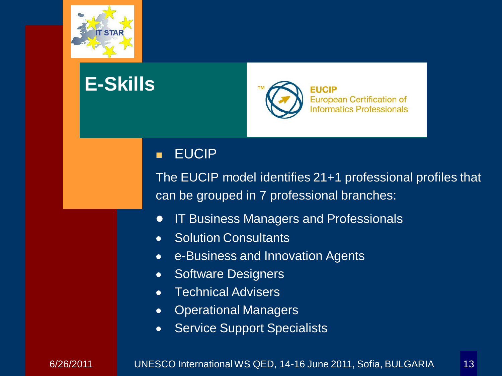

## **E-Skills**



#### **EUCIP**

The EUCIP model identifies 21+1 professional profiles that can be grouped in 7 professional branches:

- IT Business Managers and Professionals  $\bullet$
- Solution Consultants  $\bullet$
- e-Business and Innovation Agents  $\bullet$
- Software Designers  $\bullet$
- Technical Advisers  $\bullet$
- Operational Managers  $\bullet$
- Service Support Specialists $\bullet$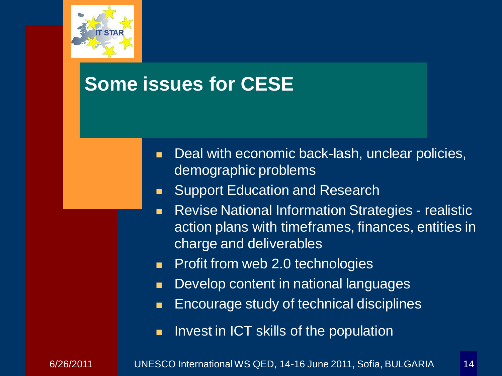

### **Some issues for CESE**

- Deal with economic back-lash, unclear policies, demographic problems
- **Support Education and Research**
- **Revise National Information Strategies realistic** action plans with timeframes, finances, entities in charge and deliverables
- **Profit from web 2.0 technologies**
- **Develop content in national languages**
- **Encourage study of technical disciplines**
- **If** Invest in ICT skills of the population